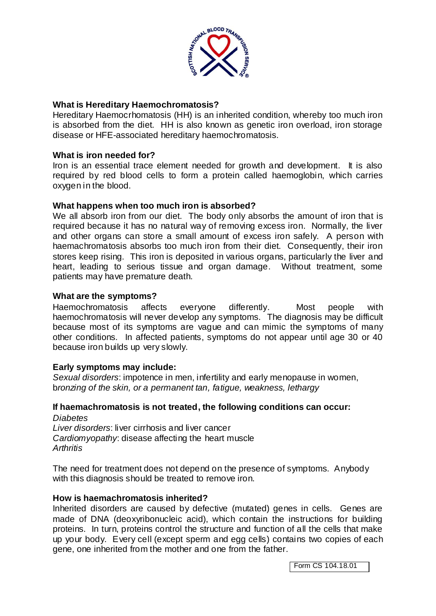

## **What is Hereditary Haemochromatosis?**

Hereditary Haemocrhomatosis (HH) is an inherited condition, whereby too much iron is absorbed from the diet. HH is also known as genetic iron overload, iron storage disease or HFE-associated hereditary haemochromatosis.

## **What is iron needed for?**

Iron is an essential trace element needed for growth and development. It is also required by red blood cells to form a protein called haemoglobin, which carries oxygen in the blood.

#### **What happens when too much iron is absorbed?**

We all absorb iron from our diet. The body only absorbs the amount of iron that is required because it has no natural way of removing excess iron. Normally, the liver and other organs can store a small amount of excess iron safely. A person with haemachromatosis absorbs too much iron from their diet. Consequently, their iron stores keep rising. This iron is deposited in various organs, particularly the liver and heart, leading to serious tissue and organ damage. Without treatment, some patients may have premature death.

#### **What are the symptoms?**

Haemochromatosis affects everyone differently. Most people with haemochromatosis will never develop any symptoms. The diagnosis may be difficult because most of its symptoms are vague and can mimic the symptoms of many other conditions. In affected patients, symptoms do not appear until age 30 or 40 because iron builds up very slowly.

## **Early symptoms may include:**

*Sexual disorders*: impotence in men, infertility and early menopause in women, b*ronzing of the skin, or a permanent tan, fatigue, weakness, lethargy*

#### **If haemachromatosis is not treated, the following conditions can occur:** *Diabetes*

*Liver disorders*: liver cirrhosis and liver cancer *Cardiomyopathy*: disease affecting the heart muscle *Arthritis*

The need for treatment does not depend on the presence of symptoms. Anybody with this diagnosis should be treated to remove iron.

#### **How is haemachromatosis inherited?**

Inherited disorders are caused by defective (mutated) genes in cells. Genes are made of DNA (deoxyribonucleic acid), which contain the instructions for building proteins. In turn, proteins control the structure and function of all the cells that make up your body. Every cell (except sperm and egg cells) contains two copies of each gene, one inherited from the mother and one from the father.

Form CS 104.18.01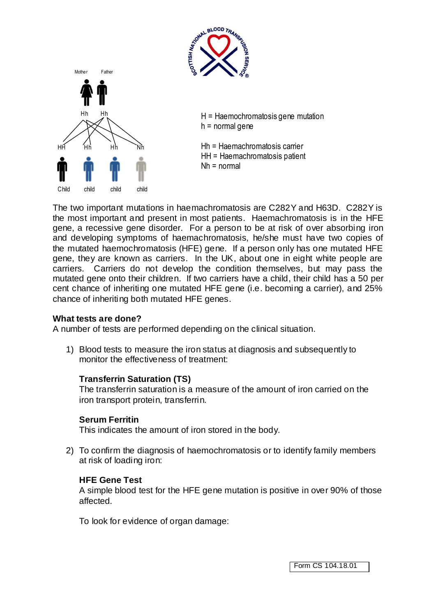



 $H = H$ aemochromatosis gene mutation h = normal gene

Hh = Haemachromatosis carrier HH = Haemachromatosis patient Nh = normal

The two important mutations in haemachromatosis are C282Y and H63D. C282Y is the most important and present in most patients. Haemachromatosis is in the HFE gene, a recessive gene disorder. For a person to be at risk of over absorbing iron and developing symptoms of haemachromatosis, he/she must have two copies of the mutated haemochromatosis (HFE) gene. If a person only has one mutated HFE gene, they are known as carriers. In the UK, about one in eight white people are carriers. Carriers do not develop the condition themselves, but may pass the mutated gene onto their children. If two carriers have a child, their child has a 50 per cent chance of inheriting one mutated HFE gene (i.e. becoming a carrier), and 25% chance of inheriting both mutated HFE genes.

## **What tests are done?**

A number of tests are performed depending on the clinical situation.

1) Blood tests to measure the iron status at diagnosis and subsequently to monitor the effectiveness of treatment:

## **Transferrin Saturation (TS)**

The transferrin saturation is a measure of the amount of iron carried on the iron transport protein, transferrin.

## **Serum Ferritin**

This indicates the amount of iron stored in the body.

2) To confirm the diagnosis of haemochromatosis or to identify family members at risk of loading iron:

## **HFE Gene Test**

A simple blood test for the HFE gene mutation is positive in over 90% of those affected.

To look for evidence of organ damage: